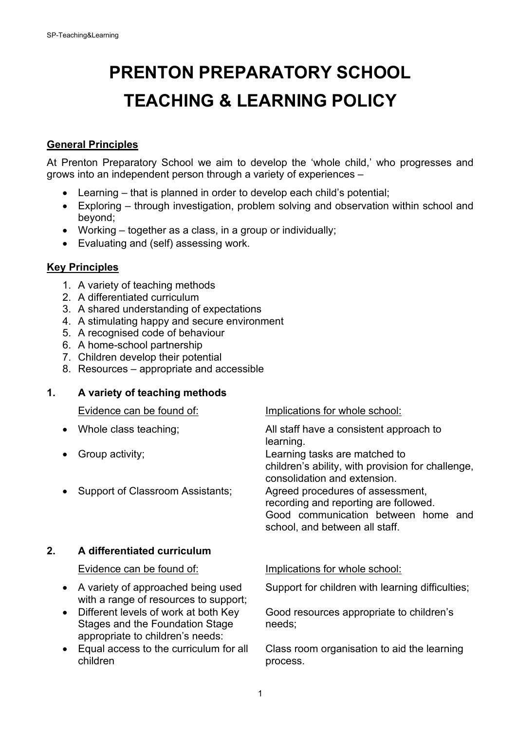# **PRENTON PREPARATORY SCHOOL TEACHING & LEARNING POLICY**

### **General Principles**

At Prenton Preparatory School we aim to develop the 'whole child,' who progresses and grows into an independent person through a variety of experiences –

- Learning that is planned in order to develop each child's potential;
- Exploring through investigation, problem solving and observation within school and beyond;
- Working together as a class, in a group or individually;
- Evaluating and (self) assessing work.

#### **Key Principles**

- 1. A variety of teaching methods
- 2. A differentiated curriculum
- 3. A shared understanding of expectations
- 4. A stimulating happy and secure environment
- 5. A recognised code of behaviour
- 6. A home-school partnership
- 7. Children develop their potential
- 8. Resources appropriate and accessible

#### **1. A variety of teaching methods**

Evidence can be found of: Implications for whole school: • Whole class teaching; and all staff have a consistent approach to learning. • Group activity; Learning tasks are matched to children's ability, with provision for challenge, consolidation and extension. • Support of Classroom Assistants; Agreed procedures of assessment, recording and reporting are followed. Good communication between home and school, and between all staff. **2. A differentiated curriculum** Evidence can be found of: Implications for whole school:

- with a range of resources to support;
- Different levels of work at both Key Good resources appropriate to children's Stages and the Foundation Stage needs; appropriate to children's needs:
- 

• A variety of approached being used Support for children with learning difficulties;

• Equal access to the curriculum for all Class room organisation to aid the learning process.

1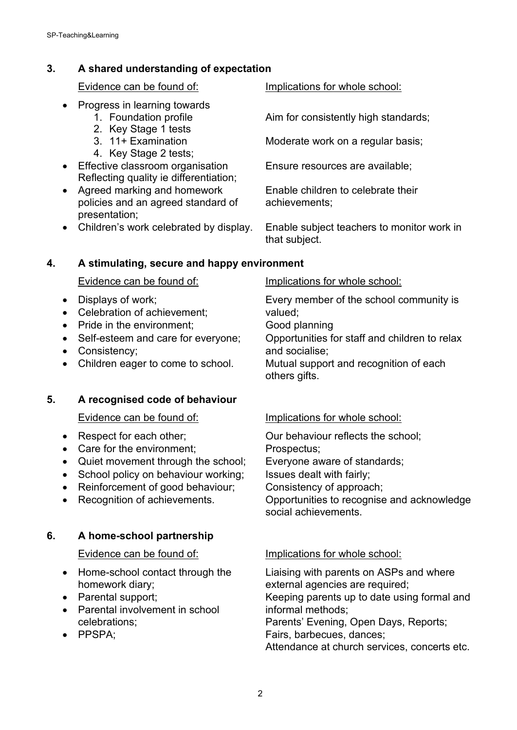# **3. A shared understanding of expectation**

- Progress in learning towards
	-
	- 2. Key Stage 1 tests<br>3. 11+ Examination
	-
	- 4. Key Stage 2 tests;
- Effective classroom organisation Ensure resources are available; Reflecting quality ie differentiation;
- Agreed marking and homework Enable children to celebrate their policies and an agreed standard of achievements; presentation;
- 

Evidence can be found of: Implications for whole school:

1. Foundation profile **Aim for consistently high standards**;

Moderate work on a regular basis;

• Children's work celebrated by display. Enable subject teachers to monitor work in that subject.

### **4. A stimulating, secure and happy environment**

- 
- Celebration of achievement: valued:
- Pride in the environment; Good planning
- 
- Consistency; and socialise;
- 

# **5. A recognised code of behaviour**

- 
- Care for the environment; Prospectus;
- Quiet movement through the school; Everyone aware of standards;
- School policy on behaviour working; Issues dealt with fairly;
- Reinforcement of good behaviour; Consistency of approach;
- 

# **6. A home-school partnership**

- homework diary; external agencies are required;
- 
- Parental involvement in school informal methods;
- 

### Evidence can be found of: Implications for whole school:

• Displays of work; Every member of the school community is

• Self-esteem and care for everyone; Opportunities for staff and children to relax

• Children eager to come to school. Mutual support and recognition of each others gifts.

# Evidence can be found of: Implications for whole school:

• Respect for each other;  $\qquad \qquad$  Our behaviour reflects the school;

• Recognition of achievements. Opportunities to recognise and acknowledge social achievements.

### Evidence can be found of: Implications for whole school:

• Home-school contact through the Liaising with parents on ASPs and where • Parental support; example are Keeping parents up to date using formal and celebrations; Parents' Evening, Open Days, Reports; • PPSPA: The Contract of the Fairs, barbecues, dances: Attendance at church services, concerts etc.